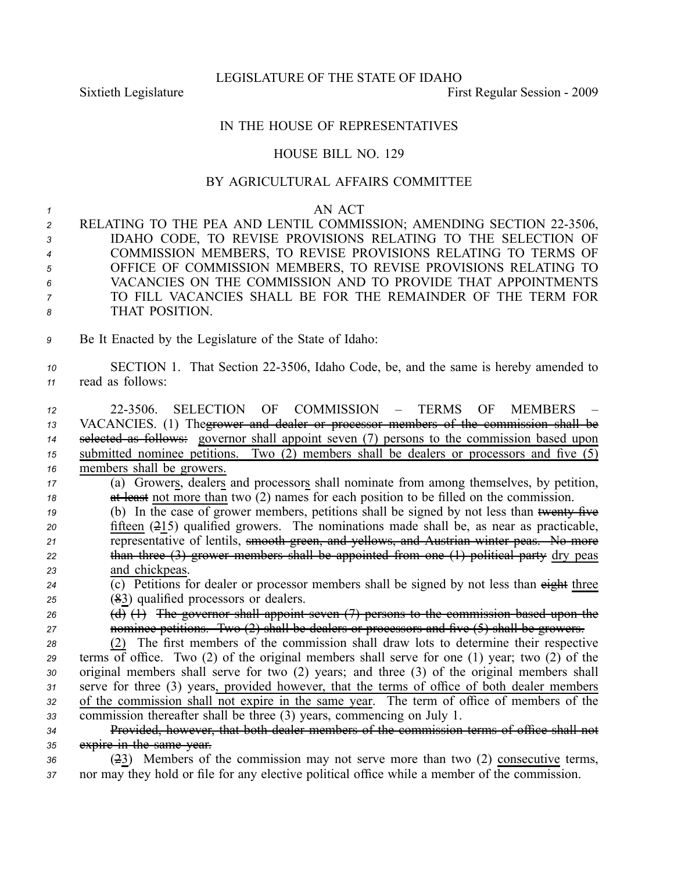LEGISLATURE OF THE STATE OF IDAHO

Sixtieth Legislature **First** Regular Session - 2009

## IN THE HOUSE OF REPRESENTATIVES

## HOUSE BILL NO. 129

## BY AGRICULTURAL AFFAIRS COMMITTEE

## *1* AN ACT

| $\overline{2}$        | RELATING TO THE PEA AND LENTIL COMMISSION; AMENDING SECTION 22-3506, |
|-----------------------|----------------------------------------------------------------------|
| $3^{\circ}$           | IDAHO CODE, TO REVISE PROVISIONS RELATING TO THE SELECTION OF        |
| $\overline{4}$        | COMMISSION MEMBERS, TO REVISE PROVISIONS RELATING TO TERMS OF        |
| 5 <sup>5</sup>        | OFFICE OF COMMISSION MEMBERS, TO REVISE PROVISIONS RELATING TO       |
| $6\overline{6}$       | VACANCIES ON THE COMMISSION AND TO PROVIDE THAT APPOINTMENTS         |
| $\overline{7}$        | TO FILL VACANCIES SHALL BE FOR THE REMAINDER OF THE TERM FOR         |
| $\boldsymbol{\delta}$ | THAT POSITION.                                                       |
|                       |                                                                      |

*<sup>9</sup>* Be It Enacted by the Legislature of the State of Idaho:

10 SECTION 1. That Section 22-3506, Idaho Code, be, and the same is hereby amended to *<sup>11</sup>* read as follows:

 223506. SELECTION OF COMMISSION – TERMS OF MEMBERS – VACANCIES. (1) Thegrower and dealer or processor members of the commission shall be selected as follows: governor shall appoint seven (7) persons to the commission based upon submitted nominee petitions. Two (2) members shall be dealers or processors and five (5) members shall be growers. (a) Growers, dealers and processors shall nominate from among themselves, by petition, **at least** not more than two (2) names for each position to be filled on the commission. (b) In the case of grower members, petitions shall be signed by not less than <del>twenty five</del> fifteen (215) qualified growers. The nominations made shall be, as near as practicable, representative of lentils, smooth green, and yellows, and Austrian winter peas. No more than three (3) grower members shall be appointed from one (1) political party dry peas and chickpeas. (c) Petitions for dealer or processor members shall be signed by not less than eight three (83) qualified processors or dealers. (d) (1) The governor shall appoint seven (7) persons to the commission based upon the

*<sup>27</sup>* nominee petitions. Two (2) shall be dealers or processors and five (5) shall be growers.

 (2) The first members of the commission shall draw lots to determine their respective terms of office. Two (2) of the original members shall serve for one (1) year; two (2) of the original members shall serve for two (2) years; and three (3) of the original members shall serve for three (3) years, provided however, that the terms of office of both dealer members of the commission shall not expire in the same year. The term of office of members of the commission thereafter shall be three (3) years, commencing on July 1.

*<sup>34</sup>* Provided, however, that both dealer members of the commission terms of office shall not *<sup>35</sup>* expire in the same year.

*<sup>36</sup>* (23) Members of the commission may not serve more than two (2) consecutive terms, *<sup>37</sup>* nor may they hold or file for any elective political office while <sup>a</sup> member of the commission.